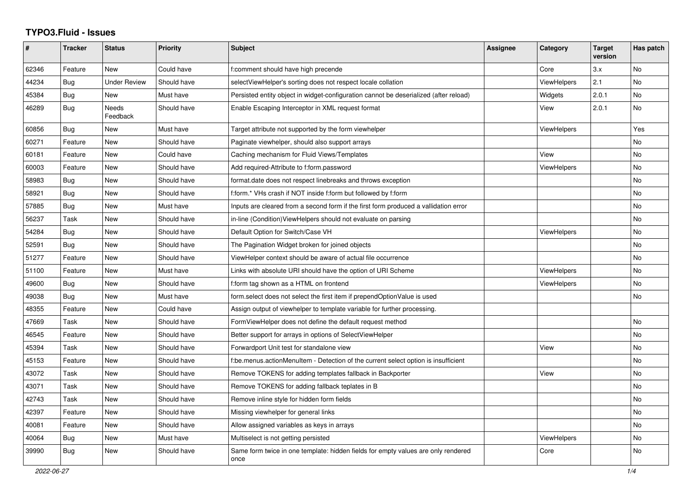## **TYPO3.Fluid - Issues**

| #     | <b>Tracker</b> | <b>Status</b>            | <b>Priority</b> | <b>Subject</b>                                                                            | Assignee | Category           | <b>Target</b><br>version | Has patch |
|-------|----------------|--------------------------|-----------------|-------------------------------------------------------------------------------------------|----------|--------------------|--------------------------|-----------|
| 62346 | Feature        | New                      | Could have      | f:comment should have high precende                                                       |          | Core               | 3.x                      | No        |
| 44234 | Bug            | <b>Under Review</b>      | Should have     | selectViewHelper's sorting does not respect locale collation                              |          | <b>ViewHelpers</b> | 2.1                      | No        |
| 45384 | Bug            | <b>New</b>               | Must have       | Persisted entity object in widget-configuration cannot be deserialized (after reload)     |          | Widgets            | 2.0.1                    | No        |
| 46289 | Bug            | <b>Needs</b><br>Feedback | Should have     | Enable Escaping Interceptor in XML request format                                         |          | View               | 2.0.1                    | <b>No</b> |
| 60856 | Bug            | <b>New</b>               | Must have       | Target attribute not supported by the form viewhelper                                     |          | ViewHelpers        |                          | Yes       |
| 60271 | Feature        | <b>New</b>               | Should have     | Paginate viewhelper, should also support arrays                                           |          |                    |                          | <b>No</b> |
| 60181 | Feature        | <b>New</b>               | Could have      | Caching mechanism for Fluid Views/Templates                                               |          | View               |                          | <b>No</b> |
| 60003 | Feature        | <b>New</b>               | Should have     | Add required-Attribute to f:form.password                                                 |          | <b>ViewHelpers</b> |                          | <b>No</b> |
| 58983 | Bug            | New                      | Should have     | format.date does not respect linebreaks and throws exception                              |          |                    |                          | No        |
| 58921 | Bug            | New                      | Should have     | f:form.* VHs crash if NOT inside f:form but followed by f:form                            |          |                    |                          | No        |
| 57885 | <b>Bug</b>     | <b>New</b>               | Must have       | Inputs are cleared from a second form if the first form produced a vallidation error      |          |                    |                          | No        |
| 56237 | Task           | <b>New</b>               | Should have     | in-line (Condition) View Helpers should not evaluate on parsing                           |          |                    |                          | No        |
| 54284 | <b>Bug</b>     | <b>New</b>               | Should have     | Default Option for Switch/Case VH                                                         |          | ViewHelpers        |                          | <b>No</b> |
| 52591 | Bug            | New                      | Should have     | The Pagination Widget broken for joined objects                                           |          |                    |                          | <b>No</b> |
| 51277 | Feature        | New                      | Should have     | ViewHelper context should be aware of actual file occurrence                              |          |                    |                          | No        |
| 51100 | Feature        | New                      | Must have       | Links with absolute URI should have the option of URI Scheme                              |          | <b>ViewHelpers</b> |                          | No        |
| 49600 | <b>Bug</b>     | New                      | Should have     | f:form tag shown as a HTML on frontend                                                    |          | <b>ViewHelpers</b> |                          | <b>No</b> |
| 49038 | <b>Bug</b>     | New                      | Must have       | form.select does not select the first item if prependOptionValue is used                  |          |                    |                          | No        |
| 48355 | Feature        | New                      | Could have      | Assign output of viewhelper to template variable for further processing.                  |          |                    |                          |           |
| 47669 | Task           | <b>New</b>               | Should have     | FormViewHelper does not define the default request method                                 |          |                    |                          | <b>No</b> |
| 46545 | Feature        | New                      | Should have     | Better support for arrays in options of SelectViewHelper                                  |          |                    |                          | <b>No</b> |
| 45394 | Task           | New                      | Should have     | Forwardport Unit test for standalone view                                                 |          | View               |                          | <b>No</b> |
| 45153 | Feature        | New                      | Should have     | f:be.menus.actionMenuItem - Detection of the current select option is insufficient        |          |                    |                          | No        |
| 43072 | Task           | New                      | Should have     | Remove TOKENS for adding templates fallback in Backporter                                 |          | View               |                          | No        |
| 43071 | Task           | New                      | Should have     | Remove TOKENS for adding fallback teplates in B                                           |          |                    |                          | No        |
| 42743 | Task           | <b>New</b>               | Should have     | Remove inline style for hidden form fields                                                |          |                    |                          | <b>No</b> |
| 42397 | Feature        | <b>New</b>               | Should have     | Missing viewhelper for general links                                                      |          |                    |                          | <b>No</b> |
| 40081 | Feature        | New                      | Should have     | Allow assigned variables as keys in arrays                                                |          |                    |                          | <b>No</b> |
| 40064 | Bug            | New                      | Must have       | Multiselect is not getting persisted                                                      |          | <b>ViewHelpers</b> |                          | No        |
| 39990 | Bug            | New                      | Should have     | Same form twice in one template: hidden fields for empty values are only rendered<br>once |          | Core               |                          | No        |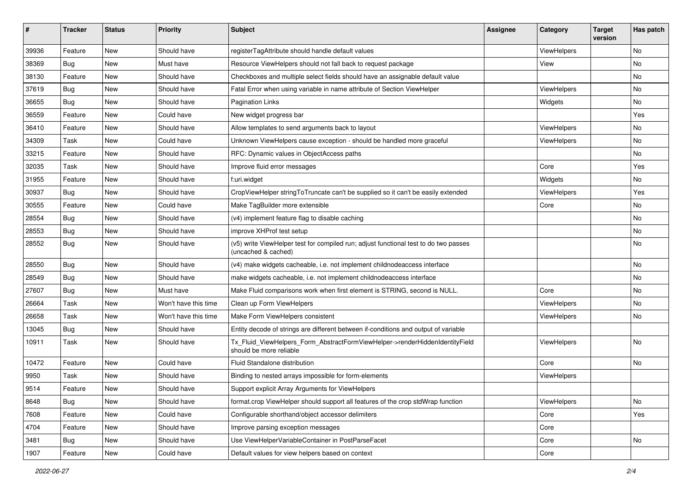| #     | <b>Tracker</b> | <b>Status</b> | <b>Priority</b>      | Subject                                                                                                     | <b>Assignee</b> | Category    | <b>Target</b><br>version | Has patch |
|-------|----------------|---------------|----------------------|-------------------------------------------------------------------------------------------------------------|-----------------|-------------|--------------------------|-----------|
| 39936 | Feature        | New           | Should have          | registerTagAttribute should handle default values                                                           |                 | ViewHelpers |                          | No        |
| 38369 | Bug            | New           | Must have            | Resource ViewHelpers should not fall back to request package                                                |                 | View        |                          | No        |
| 38130 | Feature        | New           | Should have          | Checkboxes and multiple select fields should have an assignable default value                               |                 |             |                          | No        |
| 37619 | <b>Bug</b>     | New           | Should have          | Fatal Error when using variable in name attribute of Section ViewHelper                                     |                 | ViewHelpers |                          | No        |
| 36655 | Bug            | New           | Should have          | <b>Pagination Links</b>                                                                                     |                 | Widgets     |                          | No        |
| 36559 | Feature        | New           | Could have           | New widget progress bar                                                                                     |                 |             |                          | Yes       |
| 36410 | Feature        | New           | Should have          | Allow templates to send arguments back to layout                                                            |                 | ViewHelpers |                          | No        |
| 34309 | Task           | New           | Could have           | Unknown ViewHelpers cause exception - should be handled more graceful                                       |                 | ViewHelpers |                          | No        |
| 33215 | Feature        | New           | Should have          | RFC: Dynamic values in ObjectAccess paths                                                                   |                 |             |                          | No        |
| 32035 | Task           | New           | Should have          | Improve fluid error messages                                                                                |                 | Core        |                          | Yes       |
| 31955 | Feature        | New           | Should have          | f:uri.widget                                                                                                |                 | Widgets     |                          | No        |
| 30937 | <b>Bug</b>     | New           | Should have          | CropViewHelper stringToTruncate can't be supplied so it can't be easily extended                            |                 | ViewHelpers |                          | Yes       |
| 30555 | Feature        | New           | Could have           | Make TagBuilder more extensible                                                                             |                 | Core        |                          | No.       |
| 28554 | Bug            | New           | Should have          | (v4) implement feature flag to disable caching                                                              |                 |             |                          | No        |
| 28553 | <b>Bug</b>     | New           | Should have          | improve XHProf test setup                                                                                   |                 |             |                          | No        |
| 28552 | <b>Bug</b>     | New           | Should have          | (v5) write ViewHelper test for compiled run; adjust functional test to do two passes<br>(uncached & cached) |                 |             |                          | No        |
| 28550 | Bug            | New           | Should have          | (v4) make widgets cacheable, i.e. not implement childnodeaccess interface                                   |                 |             |                          | No        |
| 28549 | Bug            | <b>New</b>    | Should have          | make widgets cacheable, i.e. not implement childnodeaccess interface                                        |                 |             |                          | No        |
| 27607 | <b>Bug</b>     | New           | Must have            | Make Fluid comparisons work when first element is STRING, second is NULL.                                   |                 | Core        |                          | No        |
| 26664 | Task           | New           | Won't have this time | Clean up Form ViewHelpers                                                                                   |                 | ViewHelpers |                          | No        |
| 26658 | Task           | New           | Won't have this time | Make Form ViewHelpers consistent                                                                            |                 | ViewHelpers |                          | No        |
| 13045 | <b>Bug</b>     | New           | Should have          | Entity decode of strings are different between if-conditions and output of variable                         |                 |             |                          |           |
| 10911 | Task           | New           | Should have          | Tx_Fluid_ViewHelpers_Form_AbstractFormViewHelper->renderHiddenIdentityField<br>should be more reliable      |                 | ViewHelpers |                          | No        |
| 10472 | Feature        | New           | Could have           | <b>Fluid Standalone distribution</b>                                                                        |                 | Core        |                          | No        |
| 9950  | Task           | New           | Should have          | Binding to nested arrays impossible for form-elements                                                       |                 | ViewHelpers |                          |           |
| 9514  | Feature        | New           | Should have          | Support explicit Array Arguments for ViewHelpers                                                            |                 |             |                          |           |
| 8648  | Bug            | New           | Should have          | format.crop ViewHelper should support all features of the crop stdWrap function                             |                 | ViewHelpers |                          | No        |
| 7608  | Feature        | New           | Could have           | Configurable shorthand/object accessor delimiters                                                           |                 | Core        |                          | Yes       |
| 4704  | Feature        | New           | Should have          | Improve parsing exception messages                                                                          |                 | Core        |                          |           |
| 3481  | Bug            | New           | Should have          | Use ViewHelperVariableContainer in PostParseFacet                                                           |                 | Core        |                          | No        |
| 1907  | Feature        | New           | Could have           | Default values for view helpers based on context                                                            |                 | Core        |                          |           |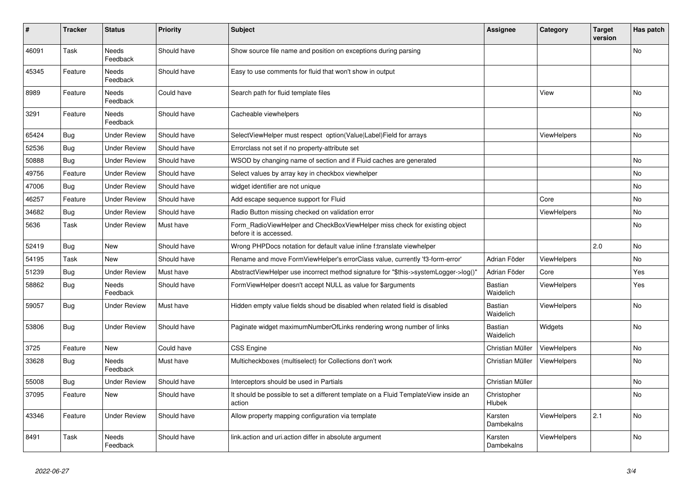| #     | <b>Tracker</b> | <b>Status</b>            | <b>Priority</b> | <b>Subject</b>                                                                                       | <b>Assignee</b>              | Category           | <b>Target</b><br>version | Has patch |
|-------|----------------|--------------------------|-----------------|------------------------------------------------------------------------------------------------------|------------------------------|--------------------|--------------------------|-----------|
| 46091 | Task           | Needs<br>Feedback        | Should have     | Show source file name and position on exceptions during parsing                                      |                              |                    |                          | No        |
| 45345 | Feature        | Needs<br>Feedback        | Should have     | Easy to use comments for fluid that won't show in output                                             |                              |                    |                          |           |
| 8989  | Feature        | Needs<br>Feedback        | Could have      | Search path for fluid template files                                                                 |                              | View               |                          | No        |
| 3291  | Feature        | Needs<br>Feedback        | Should have     | Cacheable viewhelpers                                                                                |                              |                    |                          | No        |
| 65424 | <b>Bug</b>     | Under Review             | Should have     | SelectViewHelper must respect option(Value Label)Field for arrays                                    |                              | ViewHelpers        |                          | <b>No</b> |
| 52536 | <b>Bug</b>     | <b>Under Review</b>      | Should have     | Errorclass not set if no property-attribute set                                                      |                              |                    |                          |           |
| 50888 | Bug            | Under Review             | Should have     | WSOD by changing name of section and if Fluid caches are generated                                   |                              |                    |                          | <b>No</b> |
| 49756 | Feature        | <b>Under Review</b>      | Should have     | Select values by array key in checkbox viewhelper                                                    |                              |                    |                          | No        |
| 47006 | Bug            | Under Review             | Should have     | widget identifier are not unique                                                                     |                              |                    |                          | <b>No</b> |
| 46257 | Feature        | Under Review             | Should have     | Add escape sequence support for Fluid                                                                |                              | Core               |                          | <b>No</b> |
| 34682 | Bug            | Under Review             | Should have     | Radio Button missing checked on validation error                                                     |                              | <b>ViewHelpers</b> |                          | No        |
| 5636  | Task           | Under Review             | Must have       | Form_RadioViewHelper and CheckBoxViewHelper miss check for existing object<br>before it is accessed. |                              |                    |                          | <b>No</b> |
| 52419 | <b>Bug</b>     | New                      | Should have     | Wrong PHPDocs notation for default value inline f:translate viewhelper                               |                              |                    | 2.0                      | <b>No</b> |
| 54195 | Task           | New                      | Should have     | Rename and move FormViewHelper's errorClass value, currently 'f3-form-error'                         | Adrian Föder                 | <b>ViewHelpers</b> |                          | <b>No</b> |
| 51239 | Bug            | <b>Under Review</b>      | Must have       | AbstractViewHelper use incorrect method signature for "\$this->systemLogger->log()"                  | Adrian Föder                 | Core               |                          | Yes       |
| 58862 | Bug            | Needs<br>Feedback        | Should have     | FormViewHelper doesn't accept NULL as value for \$arguments                                          | Bastian<br>Waidelich         | <b>ViewHelpers</b> |                          | Yes       |
| 59057 | Bug            | <b>Under Review</b>      | Must have       | Hidden empty value fields shoud be disabled when related field is disabled                           | Bastian<br>Waidelich         | <b>ViewHelpers</b> |                          | <b>No</b> |
| 53806 | Bug            | <b>Under Review</b>      | Should have     | Paginate widget maximumNumberOfLinks rendering wrong number of links                                 | <b>Bastian</b><br>Waidelich  | Widgets            |                          | No        |
| 3725  | Feature        | New                      | Could have      | <b>CSS Engine</b>                                                                                    | Christian Müller             | <b>ViewHelpers</b> |                          | No        |
| 33628 | Bug            | Needs<br>Feedback        | Must have       | Multicheckboxes (multiselect) for Collections don't work                                             | Christian Müller             | <b>ViewHelpers</b> |                          | No        |
| 55008 | <b>Bug</b>     | <b>Under Review</b>      | Should have     | Interceptors should be used in Partials                                                              | Christian Müller             |                    |                          | No        |
| 37095 | Feature        | New                      | Should have     | It should be possible to set a different template on a Fluid TemplateView inside an<br>action        | Christopher<br><b>Hlubek</b> |                    |                          | No.       |
| 43346 | Feature        | Under Review             | Should have     | Allow property mapping configuration via template                                                    | Karsten<br>Dambekalns        | ViewHelpers        | 2.1                      | <b>No</b> |
| 8491  | Task           | <b>Needs</b><br>Feedback | Should have     | link.action and uri.action differ in absolute argument                                               | Karsten<br>Dambekalns        | <b>ViewHelpers</b> |                          | <b>No</b> |